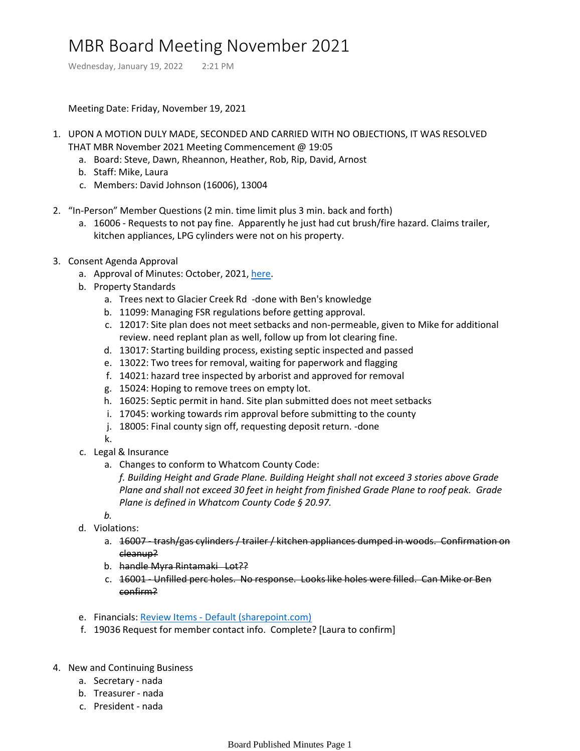## MBR Board Meeting November 2021

Wednesday, January 19, 2022 2:21 PM

Meeting Date: Friday, November 19, 2021

- 1. UPON A MOTION DULY MADE, SECONDED AND CARRIED WITH NO OBJECTIONS, IT WAS RESOLVED THAT MBR November 2021 Meeting Commencement @ 19:05
	- a. Board: Steve, Dawn, Rheannon, Heather, Rob, Rip, David, Arnost
	- b. Staff: Mike, Laura
	- c. Members: David Johnson (16006), 13004
- 2. "In-Person" Member Questions (2 min. time limit plus 3 min. back and forth)
	- a. 16006 Requests to not pay fine. Apparently he just had cut brush/fire hazard. Claims trailer, kitchen appliances, LPG cylinders were not on his property.
- 3. Consent Agenda Approval
	- a. Approval of Minutes: October, 2021, [here.](onenote:Board%20Published%20Minutes.one#MBR%20Board%20Meeting%20October%202021§ion-id={0DB4B39E-9E2E-4A3A-BBBB-5153A31F305F}&page-id={46AF1CC1-6ABE-4C2B-83AA-16E9D8563006}&end&base-path=https://mtbakerrim.sharepoint.com/sites/mbr_board_only/SiteAssets/MBR_BOARD_ONLY_GROUP%20Notebook)
	- b. Property Standards
		- a. Trees next to Glacier Creek Rd -done with Ben's knowledge
		- b. 11099: Managing FSR regulations before getting approval.
		- c. 12017: Site plan does not meet setbacks and non-permeable, given to Mike for additional review. need replant plan as well, follow up from lot clearing fine.
		- d. 13017: Starting building process, existing septic inspected and passed
		- e. 13022: Two trees for removal, waiting for paperwork and flagging
		- f. 14021: hazard tree inspected by arborist and approved for removal
		- g. 15024: Hoping to remove trees on empty lot.
		- h. 16025: Septic permit in hand. Site plan submitted does not meet setbacks
		- i. 17045: working towards rim approval before submitting to the county
		- j. 18005: Final county sign off, requesting deposit return. -done
		- k.
	- c. Legal & Insurance
		- a. Changes to conform to Whatcom County Code:

*f. Building Height and Grade Plane. Building Height shall not exceed 3 stories above Grade Plane and shall not exceed 30 feet in height from finished Grade Plane to roof peak. Grade Plane is defined in Whatcom County Code § 20.97.*

- *b.*
- d. Violations:
	- a. 16007 trash/gas cylinders / trailer / kitchen appliances dumped in woods. Confirmation on cleanup?
	- b. handle Myra Rintamaki Lot??
	- c. 16001 Unfilled perc holes. No response. Looks like holes were filled. Can Mike or Ben confirm?
- e. Financials: Review Items [Default \(sharepoint.com\)](https://mtbakerrim.sharepoint.com/:f:/r/sites/mbrboard/Shared%20Documents/FINANCIALS/2021%20Monthly%20Financials?csf=1&web=1&e=L9tbce)
- f. 19036 Request for member contact info. Complete? [Laura to confirm]
- 4. New and Continuing Business
	- a. Secretary nada
	- b. Treasurer nada
	- c. President nada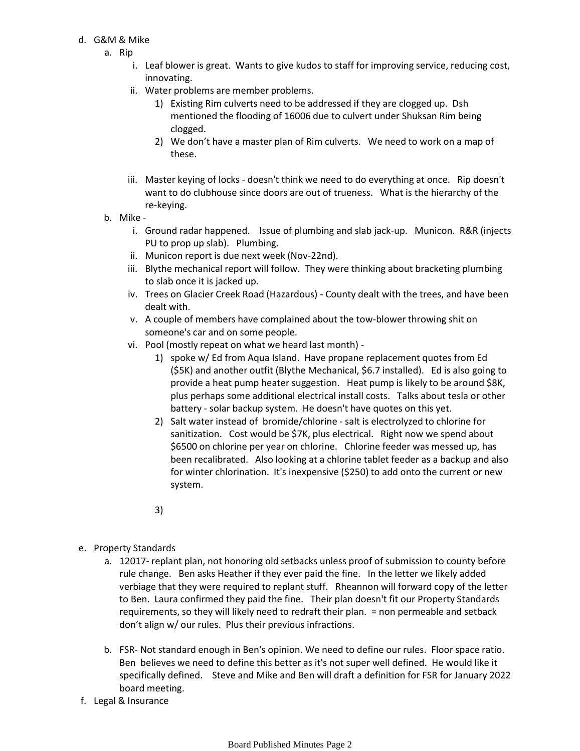## d. G&M & Mike

- a. Rip
	- i. Leaf blower is great. Wants to give kudos to staff for improving service, reducing cost, innovating.
	- Water problems are member problems. ii.
		- Existing Rim culverts need to be addressed if they are clogged up. Dsh 1) mentioned the flooding of 16006 due to culvert under Shuksan Rim being clogged.
		- We don't have a master plan of Rim culverts. We need to work on a map of 2) these.
	- iii. Master keying of locks doesn't think we need to do everything at once. Rip doesn't want to do clubhouse since doors are out of trueness. What is the hierarchy of the re-keying.
- b. Mike
	- i. Ground radar happened. Issue of plumbing and slab jack-up. Municon. R&R (injects PU to prop up slab). Plumbing.
	- ii. Municon report is due next week (Nov-22nd).
	- iii. Blythe mechanical report will follow. They were thinking about bracketing plumbing to slab once it is jacked up.
	- iv. Trees on Glacier Creek Road (Hazardous) County dealt with the trees, and have been dealt with.
	- v. A couple of members have complained about the tow-blower throwing shit on someone's car and on some people.
	- vi. Pool (mostly repeat on what we heard last month) -
		- 1) spoke w/ Ed from Aqua Island. Have propane replacement quotes from Ed (\$5K) and another outfit (Blythe Mechanical, \$6.7 installed). Ed is also going to provide a heat pump heater suggestion. Heat pump is likely to be around \$8K, plus perhaps some additional electrical install costs. Talks about tesla or other battery - solar backup system. He doesn't have quotes on this yet.
		- 2) Salt water instead of bromide/chlorine salt is electrolyzed to chlorine for sanitization. Cost would be \$7K, plus electrical. Right now we spend about \$6500 on chlorine per year on chlorine. Chlorine feeder was messed up, has been recalibrated. Also looking at a chlorine tablet feeder as a backup and also for winter chlorination. It's inexpensive (\$250) to add onto the current or new system.

3)

- e. Property Standards
	- a. 12017- replant plan, not honoring old setbacks unless proof of submission to county before rule change. Ben asks Heather if they ever paid the fine. In the letter we likely added verbiage that they were required to replant stuff. Rheannon will forward copy of the letter to Ben. Laura confirmed they paid the fine. Their plan doesn't fit our Property Standards requirements, so they will likely need to redraft their plan. = non permeable and setback don't align w/ our rules. Plus their previous infractions.
	- FSR- Not standard enough in Ben's opinion. We need to define our rules. Floor space ratio. b. Ben believes we need to define this better as it's not super well defined. He would like it specifically defined. Steve and Mike and Ben will draft a definition for FSR for January 2022 board meeting.
- f. Legal & Insurance